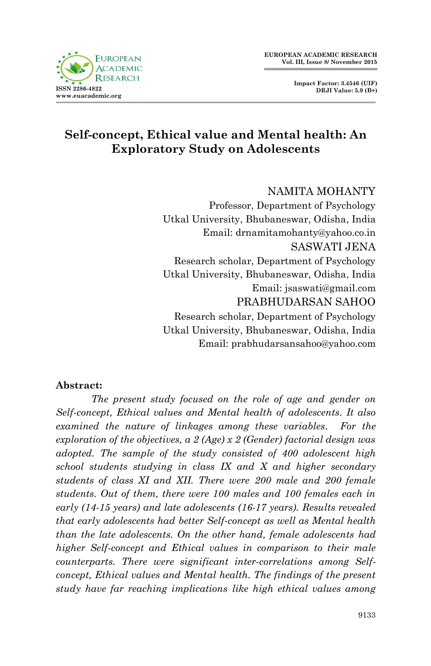

# **Self-concept, Ethical value and Mental health: An Exploratory Study on Adolescents**

### NAMITA MOHANTY

Professor, Department of Psychology Utkal University, Bhubaneswar, Odisha, India Email: drnamitamohanty@yahoo.co.in SASWATI JENA Research scholar, Department of Psychology Utkal University, Bhubaneswar, Odisha, India Email: jsaswati@gmail.com PRABHUDARSAN SAHOO Research scholar, Department of Psychology Utkal University, Bhubaneswar, Odisha, India Email: prabhudarsansahoo@yahoo.com

### **Abstract:**

*The present study focused on the role of age and gender on Self-concept, Ethical values and Mental health of adolescents. It also examined the nature of linkages among these variables. For the exploration of the objectives, a 2 (Age) x 2 (Gender) factorial design was adopted. The sample of the study consisted of 400 adolescent high school students studying in class IX and X and higher secondary students of class XI and XII. There were 200 male and 200 female students. Out of them, there were 100 males and 100 females each in early (14-15 years) and late adolescents (16-17 years). Results revealed that early adolescents had better Self-concept as well as Mental health than the late adolescents. On the other hand, female adolescents had higher Self-concept and Ethical values in comparison to their male counterparts. There were significant inter-correlations among Selfconcept, Ethical values and Mental health. The findings of the present study have far reaching implications like high ethical values among*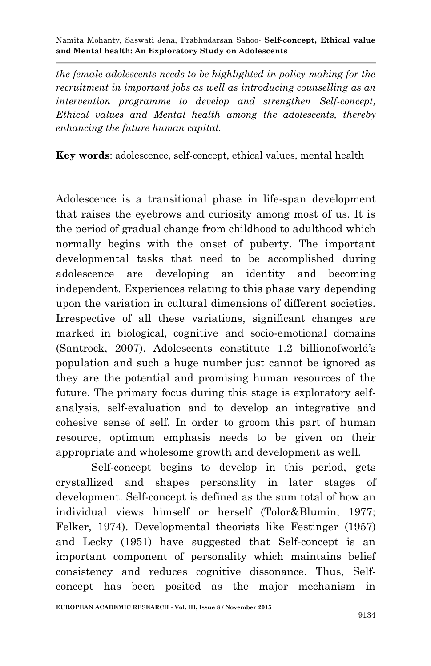*the female adolescents needs to be highlighted in policy making for the recruitment in important jobs as well as introducing counselling as an intervention programme to develop and strengthen Self-concept, Ethical values and Mental health among the adolescents, thereby enhancing the future human capital.*

**Key words**: adolescence, self-concept, ethical values, mental health

Adolescence is a transitional phase in life-span development that raises the eyebrows and curiosity among most of us. It is the period of gradual change from childhood to adulthood which normally begins with the onset of puberty. The important developmental tasks that need to be accomplished during adolescence are developing an identity and becoming independent. Experiences relating to this phase vary depending upon the variation in cultural dimensions of different societies. Irrespective of all these variations, significant changes are marked in biological, cognitive and socio-emotional domains (Santrock, 2007). Adolescents constitute 1.2 billionofworld"s population and such a huge number just cannot be ignored as they are the potential and promising human resources of the future. The primary focus during this stage is exploratory selfanalysis, self-evaluation and to develop an integrative and cohesive sense of self. In order to groom this part of human resource, optimum emphasis needs to be given on their appropriate and wholesome growth and development as well.

Self-concept begins to develop in this period, gets crystallized and shapes personality in later stages of development. Self-concept is defined as the sum total of how an individual views himself or herself (Tolor&Blumin, 1977; Felker, 1974). Developmental theorists like Festinger (1957) and Lecky (1951) have suggested that Self-concept is an important component of personality which maintains belief consistency and reduces cognitive dissonance. Thus, Selfconcept has been posited as the major mechanism in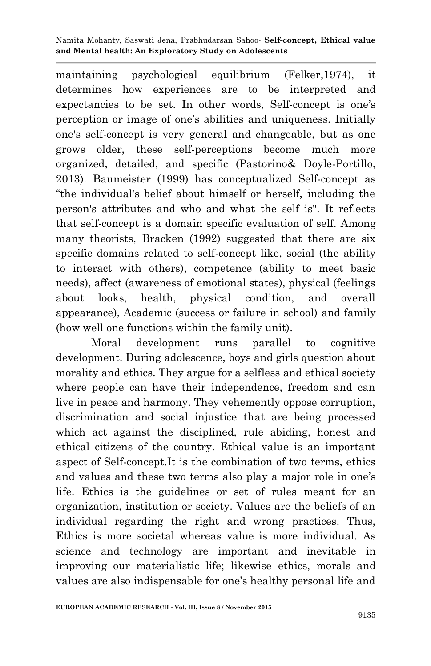maintaining psychological equilibrium (Felker,1974), it determines how experiences are to be interpreted and expectancies to be set. In other words, Self-concept is one's perception or image of one"s abilities and uniqueness. Initially one's self-concept is very general and changeable, but as one grows older, these self-perceptions become much more organized, detailed, and specific (Pastorino& Doyle-Portillo, 2013). Baumeister (1999) has conceptualized Self-concept as "the individual's belief about himself or herself, including the person's attributes and who and what the self is". It reflects that self-concept is a domain specific evaluation of self. Among many theorists, Bracken (1992) suggested that there are six specific domains related to self-concept like, social (the ability to interact with others), competence (ability to meet basic needs), affect (awareness of emotional states), physical (feelings about looks, health, physical condition, and overall appearance), Academic (success or failure in school) and family (how well one functions within the family unit).

Moral development runs parallel to cognitive development. During adolescence, boys and girls question about morality and ethics. They argue for a selfless and ethical society where people can have their independence, freedom and can live in peace and harmony. They vehemently oppose corruption, discrimination and social injustice that are being processed which act against the disciplined, rule abiding, honest and ethical citizens of the country. Ethical value is an important aspect of Self-concept.It is the combination of two terms, ethics and values and these two terms also play a major role in one"s life. Ethics is the guidelines or set of rules meant for an organization, institution or society. Values are the beliefs of an individual regarding the right and wrong practices. Thus, Ethics is more societal whereas value is more individual. As science and technology are important and inevitable in improving our materialistic life; likewise ethics, morals and values are also indispensable for one's healthy personal life and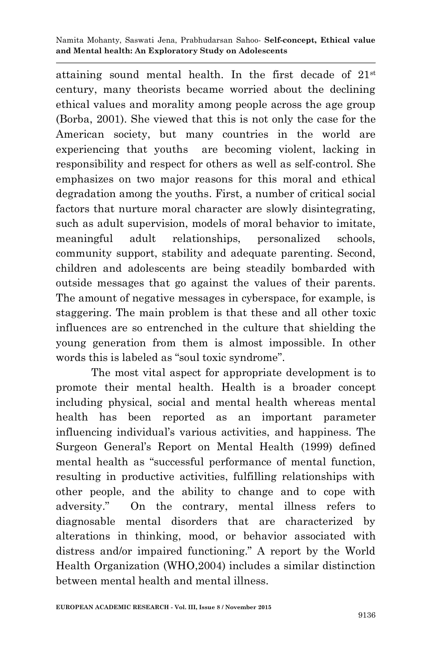attaining sound mental health. In the first decade of 21st century, many theorists became worried about the declining ethical values and morality among people across the age group (Borba, 2001). She viewed that this is not only the case for the American society, but many countries in the world are experiencing that youths are becoming violent, lacking in responsibility and respect for others as well as self-control. She emphasizes on two major reasons for this moral and ethical degradation among the youths. First, a number of critical social factors that nurture moral character are slowly disintegrating, such as adult supervision, models of moral behavior to imitate, meaningful adult relationships, personalized schools, community support, stability and adequate parenting. Second, children and adolescents are being steadily bombarded with outside messages that go against the values of their parents. The amount of negative messages in cyberspace, for example, is staggering. The main problem is that these and all other toxic influences are so entrenched in the culture that shielding the young generation from them is almost impossible. In other words this is labeled as "soul toxic syndrome".

The most vital aspect for appropriate development is to promote their mental health. Health is a broader concept including physical, social and mental health whereas mental health has been reported as an important parameter influencing individual"s various activities, and happiness. The Surgeon General"s Report on Mental Health (1999) defined mental health as "successful performance of mental function, resulting in productive activities, fulfilling relationships with other people, and the ability to change and to cope with adversity." On the contrary, mental illness refers to diagnosable mental disorders that are characterized by alterations in thinking, mood, or behavior associated with distress and/or impaired functioning." A report by the World Health Organization (WHO,2004) includes a similar distinction between mental health and mental illness.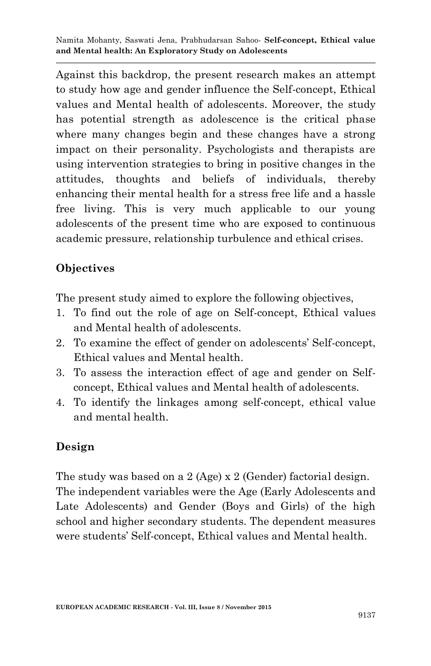Against this backdrop, the present research makes an attempt to study how age and gender influence the Self-concept, Ethical values and Mental health of adolescents. Moreover, the study has potential strength as adolescence is the critical phase where many changes begin and these changes have a strong impact on their personality. Psychologists and therapists are using intervention strategies to bring in positive changes in the attitudes, thoughts and beliefs of individuals, thereby enhancing their mental health for a stress free life and a hassle free living. This is very much applicable to our young adolescents of the present time who are exposed to continuous academic pressure, relationship turbulence and ethical crises.

## **Objectives**

The present study aimed to explore the following objectives,

- 1. To find out the role of age on Self-concept, Ethical values and Mental health of adolescents.
- 2. To examine the effect of gender on adolescents" Self-concept, Ethical values and Mental health.
- 3. To assess the interaction effect of age and gender on Selfconcept, Ethical values and Mental health of adolescents.
- 4. To identify the linkages among self-concept, ethical value and mental health.

## **Design**

The study was based on a 2 (Age) x 2 (Gender) factorial design. The independent variables were the Age (Early Adolescents and Late Adolescents) and Gender (Boys and Girls) of the high school and higher secondary students. The dependent measures were students" Self-concept, Ethical values and Mental health.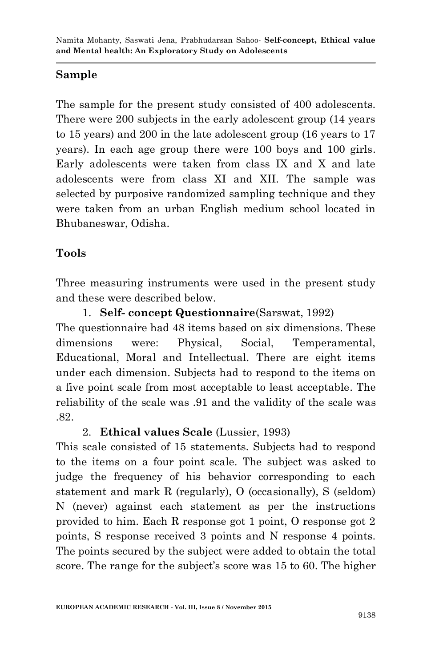# **Sample**

The sample for the present study consisted of 400 adolescents. There were 200 subjects in the early adolescent group (14 years to 15 years) and 200 in the late adolescent group (16 years to 17 years). In each age group there were 100 boys and 100 girls. Early adolescents were taken from class IX and X and late adolescents were from class XI and XII. The sample was selected by purposive randomized sampling technique and they were taken from an urban English medium school located in Bhubaneswar, Odisha.

# **Tools**

Three measuring instruments were used in the present study and these were described below.

1. **Self- concept Questionnaire**(Sarswat, 1992) The questionnaire had 48 items based on six dimensions. These dimensions were: Physical, Social, Temperamental, Educational, Moral and Intellectual. There are eight items under each dimension. Subjects had to respond to the items on a five point scale from most acceptable to least acceptable. The reliability of the scale was .91 and the validity of the scale was .82.

## 2. **Ethical values Scale** (Lussier, 1993)

This scale consisted of 15 statements. Subjects had to respond to the items on a four point scale. The subject was asked to judge the frequency of his behavior corresponding to each statement and mark R (regularly), O (occasionally), S (seldom) N (never) against each statement as per the instructions provided to him. Each R response got 1 point, O response got 2 points, S response received 3 points and N response 4 points. The points secured by the subject were added to obtain the total score. The range for the subject's score was 15 to 60. The higher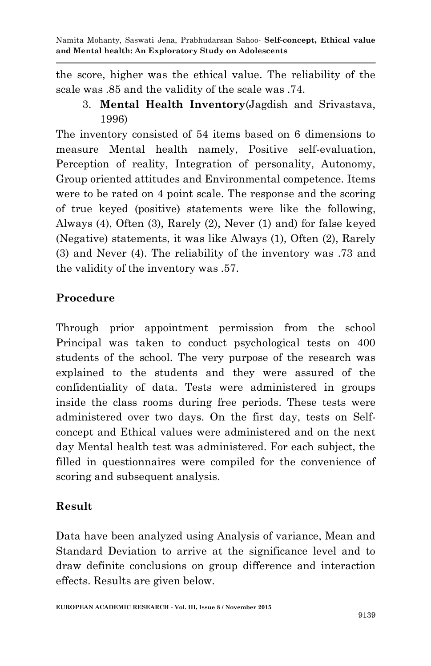the score, higher was the ethical value. The reliability of the scale was .85 and the validity of the scale was .74.

3. **Mental Health Inventory**(Jagdish and Srivastava, 1996)

The inventory consisted of 54 items based on 6 dimensions to measure Mental health namely, Positive self-evaluation, Perception of reality, Integration of personality, Autonomy, Group oriented attitudes and Environmental competence. Items were to be rated on 4 point scale. The response and the scoring of true keyed (positive) statements were like the following, Always (4), Often (3), Rarely (2), Never (1) and) for false keyed (Negative) statements, it was like Always (1), Often (2), Rarely (3) and Never (4). The reliability of the inventory was .73 and the validity of the inventory was .57.

# **Procedure**

Through prior appointment permission from the school Principal was taken to conduct psychological tests on 400 students of the school. The very purpose of the research was explained to the students and they were assured of the confidentiality of data. Tests were administered in groups inside the class rooms during free periods. These tests were administered over two days. On the first day, tests on Selfconcept and Ethical values were administered and on the next day Mental health test was administered. For each subject, the filled in questionnaires were compiled for the convenience of scoring and subsequent analysis.

## **Result**

Data have been analyzed using Analysis of variance, Mean and Standard Deviation to arrive at the significance level and to draw definite conclusions on group difference and interaction effects. Results are given below.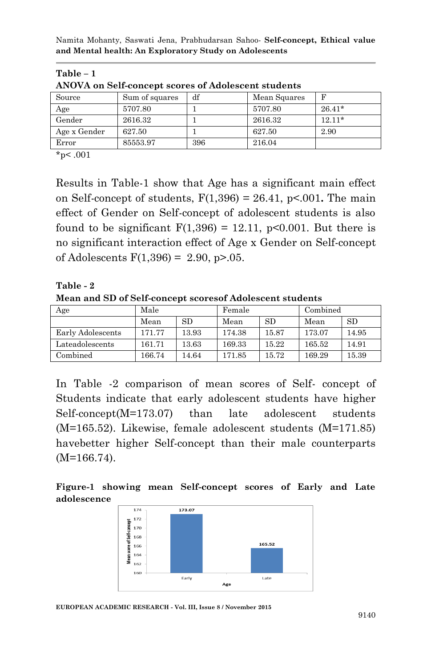| ANOVA on Self-concept scores of Adolescent students |                |     |              |          |  |
|-----------------------------------------------------|----------------|-----|--------------|----------|--|
| Source                                              | Sum of squares | df  | Mean Squares | F        |  |
| Age                                                 | 5707.80        |     | 5707.80      | $26.41*$ |  |
| Gender                                              | 2616.32        |     | 2616.32      | $12.11*$ |  |
| Age x Gender                                        | 627.50         |     | 627.50       | 2.90     |  |
| Error                                               | 85553.97       | 396 | 216.04       |          |  |

 $*_{p<.001}$ 

**Table – 1**

Results in Table-1 show that Age has a significant main effect on Self-concept of students, F(1,396) = 26.41, p<.001**.** The main effect of Gender on Self-concept of adolescent students is also found to be significant  $F(1,396) = 12.11$ , p<0.001. But there is no significant interaction effect of Age x Gender on Self-concept of Adolescents  $F(1,396) = 2.90$ , p>.05.

**Table - 2**

**Mean and SD of Self-concept scoresof Adolescent students**

| Age               | Male   |       | Female |       | Combined |       |
|-------------------|--------|-------|--------|-------|----------|-------|
|                   | Mean   | SD.   | Mean   | SD.   | Mean     | SD    |
| Early Adolescents | 171.77 | 13.93 | 174.38 | 15.87 | 173.07   | 14.95 |
| Lateadolescents   | 161.71 | 13.63 | 169.33 | 15.22 | 165.52   | 14.91 |
| Combined          | 166.74 | 14.64 | 171.85 | 15.72 | 169.29   | 15.39 |

In Table -2 comparison of mean scores of Self- concept of Students indicate that early adolescent students have higher Self-concept(M=173.07) than late adolescent students (M=165.52). Likewise, female adolescent students (M=171.85) havebetter higher Self-concept than their male counterparts (M=166.74).

### **Figure-1 showing mean Self-concept scores of Early and Late adolescence**



**EUROPEAN ACADEMIC RESEARCH - Vol. III, Issue 8 / November 2015**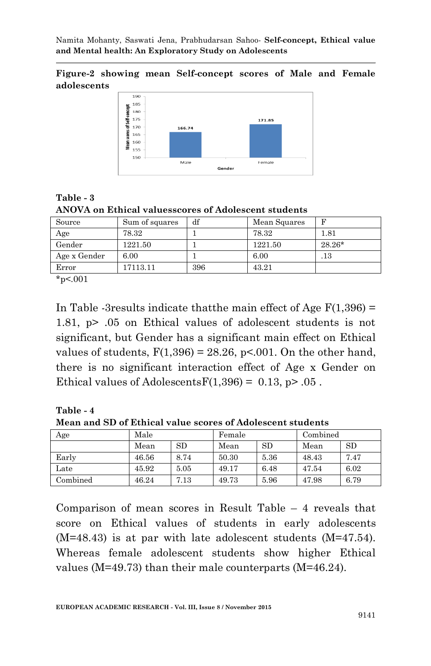#### **Figure-2 showing mean Self-concept scores of Male and Female adolescents**



**Table - 3 ANOVA on Ethical valuesscores of Adolescent students**

| Source       | Sum of squares | df  | Mean Squares |          |
|--------------|----------------|-----|--------------|----------|
| Age          | 78.32          |     | 78.32        | 1.81     |
| Gender       | 1221.50        |     | 1221.50      | $28.26*$ |
| Age x Gender | 6.00           |     | 6.00         | .13      |
| Error        | 17113.11       | 396 | 43.21        |          |

 $*_{p<.001}$ 

In Table -3 results indicate that the main effect of Age  $F(1,396) =$ 1.81, p> .05 on Ethical values of adolescent students is not significant, but Gender has a significant main effect on Ethical values of students,  $F(1,396) = 28.26$ ,  $p<0.01$ . On the other hand, there is no significant interaction effect of Age x Gender on Ethical values of Adolescents  $F(1,396) = 0.13$ , p> .05.

**Table - 4 Mean and SD of Ethical value scores of Adolescent students**

| Age      | Male  |      | Female |      | Combined |      |
|----------|-------|------|--------|------|----------|------|
|          | Mean  | SD   | Mean   | SD   | Mean     | SD   |
| Early    | 46.56 | 8.74 | 50.30  | 5.36 | 48.43    | 7.47 |
| Late     | 45.92 | 5.05 | 49.17  | 6.48 | 47.54    | 6.02 |
| Combined | 46.24 | 7.13 | 49.73  | 5.96 | 47.98    | 6.79 |

Comparison of mean scores in Result Table – 4 reveals that score on Ethical values of students in early adolescents (M=48.43) is at par with late adolescent students (M=47.54). Whereas female adolescent students show higher Ethical values (M=49.73) than their male counterparts (M=46.24).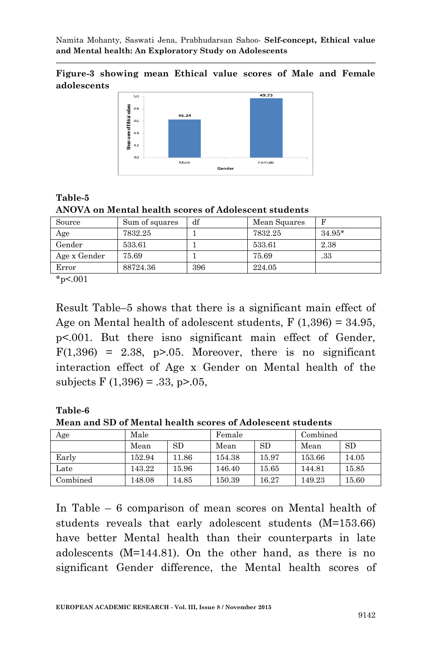#### **Figure-3 showing mean Ethical value scores of Male and Female adolescents**



### **Table-5 ANOVA on Mental health scores of Adolescent students**

| Source       | Sum of squares | df  | Mean Squares |          |
|--------------|----------------|-----|--------------|----------|
| Age          | 7832.25        |     | 7832.25      | $34.95*$ |
| Gender       | 533.61         |     | 533.61       | 2.38     |
| Age x Gender | 75.69          |     | 75.69        | .33      |
| Error        | 88724.36       | 396 | 224.05       |          |

 $*_{p<.001}$ 

Result Table–5 shows that there is a significant main effect of Age on Mental health of adolescent students,  $F(1,396) = 34.95$ , p<.001. But there isno significant main effect of Gender,  $F(1,396) = 2.38$ , p>.05. Moreover, there is no significant interaction effect of Age x Gender on Mental health of the subjects  $F(1,396) = .33, p > .05,$ 

#### **Table-6**

**Mean and SD of Mental health scores of Adolescent students**

| Age      | Male   |       | Female |       | Combined |       |
|----------|--------|-------|--------|-------|----------|-------|
|          | Mean   | SD.   | Mean   | SD    | Mean     | SD    |
| Early    | 152.94 | 11.86 | 154.38 | 15.97 | 153.66   | 14.05 |
| Late     | 143.22 | 15.96 | 146.40 | 15.65 | 144.81   | 15.85 |
| Combined | 148.08 | 14.85 | 150.39 | 16.27 | 149.23   | 15.60 |

In Table – 6 comparison of mean scores on Mental health of students reveals that early adolescent students (M=153.66) have better Mental health than their counterparts in late adolescents (M=144.81). On the other hand, as there is no significant Gender difference, the Mental health scores of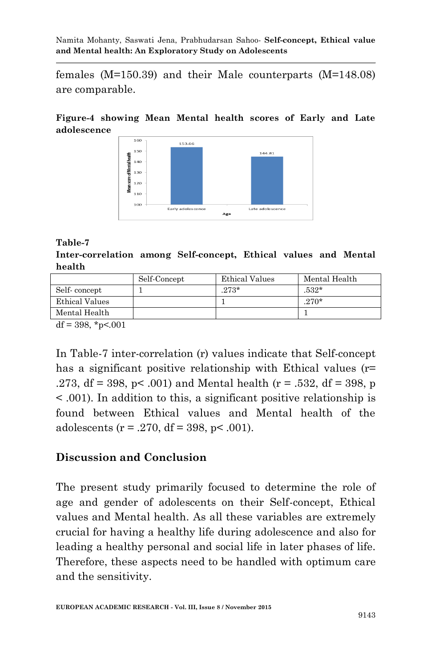females (M=150.39) and their Male counterparts (M=148.08) are comparable.

### **Figure-4 showing Mean Mental health scores of Early and Late adolescence**



### **Table-7**

**Inter-correlation among Self-concept, Ethical values and Mental health**

| Self-Concept | Ethical Values | Mental Health |
|--------------|----------------|---------------|
|              | $273*$         | $532*$        |
|              |                | $.270*$       |
|              |                |               |
|              |                |               |

 $df = 398, *p < .001$ 

In Table-7 inter-correlation (r) values indicate that Self-concept has a significant positive relationship with Ethical values (r= .273, df = 398, p < .001) and Mental health ( $r = .532$ , df = 398, p < .001). In addition to this, a significant positive relationship is found between Ethical values and Mental health of the adolescents ( $r = .270$ , df = 398, p< .001).

### **Discussion and Conclusion**

The present study primarily focused to determine the role of age and gender of adolescents on their Self-concept, Ethical values and Mental health. As all these variables are extremely crucial for having a healthy life during adolescence and also for leading a healthy personal and social life in later phases of life. Therefore, these aspects need to be handled with optimum care and the sensitivity.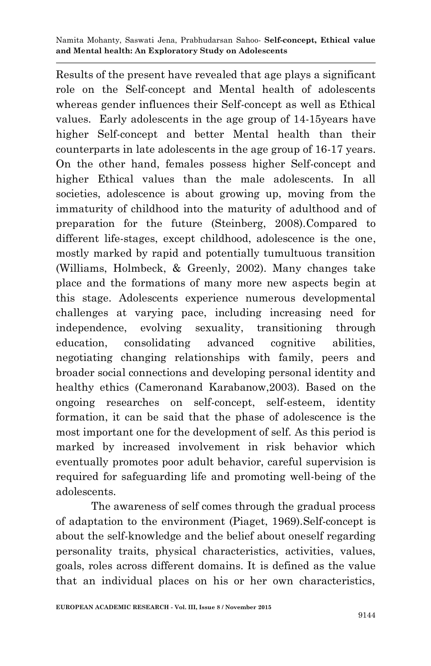Results of the present have revealed that age plays a significant role on the Self-concept and Mental health of adolescents whereas gender influences their Self-concept as well as Ethical values. Early adolescents in the age group of 14-15years have higher Self-concept and better Mental health than their counterparts in late adolescents in the age group of 16-17 years. On the other hand, females possess higher Self-concept and higher Ethical values than the male adolescents. In all societies, adolescence is about growing up, moving from the immaturity of childhood into the maturity of adulthood and of preparation for the future (Steinberg, 2008).Compared to different life-stages, except childhood, adolescence is the one, mostly marked by rapid and potentially tumultuous transition (Williams, Holmbeck, & Greenly, 2002). Many changes take place and the formations of many more new aspects begin at this stage. Adolescents experience numerous developmental challenges at varying pace, including increasing need for independence, evolving sexuality, transitioning through education, consolidating advanced cognitive abilities, negotiating changing relationships with family, peers and broader social connections and developing personal identity and healthy ethics (Cameronand Karabanow,2003). Based on the ongoing researches on self-concept, self-esteem, identity formation, it can be said that the phase of adolescence is the most important one for the development of self. As this period is marked by increased involvement in risk behavior which eventually promotes poor adult behavior, careful supervision is required for safeguarding life and promoting well-being of the adolescents.

The awareness of self comes through the gradual process of adaptation to the environment (Piaget, 1969).Self-concept is about the self-knowledge and the belief about oneself regarding personality traits, physical characteristics, activities, values, goals, roles across different domains. It is defined as the value that an individual places on his or her own characteristics,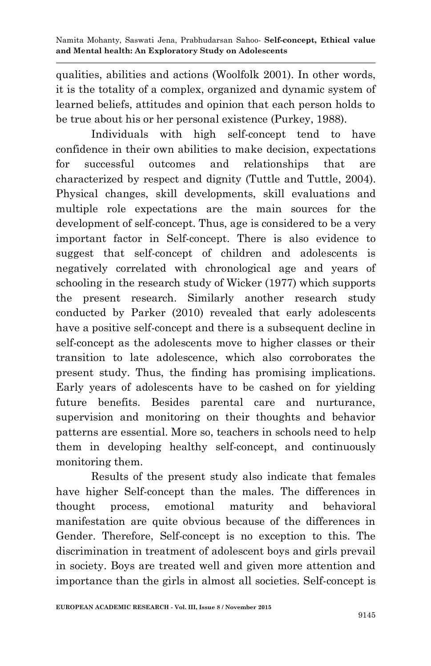qualities, abilities and actions (Woolfolk 2001). In other words, it is the totality of a complex, organized and dynamic system of learned beliefs, attitudes and opinion that each person holds to be true about his or her personal existence (Purkey, 1988).

Individuals with high self-concept tend to have confidence in their own abilities to make decision, expectations for successful outcomes and relationships that are characterized by respect and dignity (Tuttle and Tuttle, 2004). Physical changes, skill developments, skill evaluations and multiple role expectations are the main sources for the development of self-concept. Thus, age is considered to be a very important factor in Self-concept. There is also evidence to suggest that self-concept of children and adolescents is negatively correlated with chronological age and years of schooling in the research study of Wicker (1977) which supports the present research. Similarly another research study conducted by Parker (2010) revealed that early adolescents have a positive self-concept and there is a subsequent decline in self-concept as the adolescents move to higher classes or their transition to late adolescence, which also corroborates the present study. Thus, the finding has promising implications. Early years of adolescents have to be cashed on for yielding future benefits. Besides parental care and nurturance, supervision and monitoring on their thoughts and behavior patterns are essential. More so, teachers in schools need to help them in developing healthy self-concept, and continuously monitoring them.

Results of the present study also indicate that females have higher Self-concept than the males. The differences in thought process, emotional maturity and behavioral manifestation are quite obvious because of the differences in Gender. Therefore, Self-concept is no exception to this. The discrimination in treatment of adolescent boys and girls prevail in society. Boys are treated well and given more attention and importance than the girls in almost all societies. Self-concept is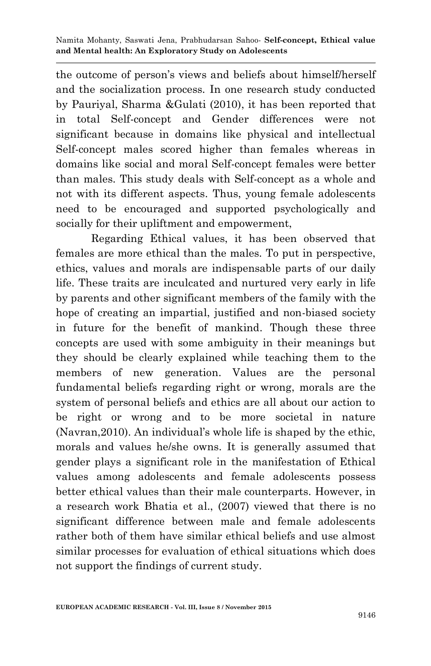the outcome of person"s views and beliefs about himself/herself and the socialization process. In one research study conducted by Pauriyal, Sharma &Gulati (2010), it has been reported that in total Self-concept and Gender differences were not significant because in domains like physical and intellectual Self-concept males scored higher than females whereas in domains like social and moral Self-concept females were better than males. This study deals with Self-concept as a whole and not with its different aspects. Thus, young female adolescents need to be encouraged and supported psychologically and socially for their upliftment and empowerment,

Regarding Ethical values, it has been observed that females are more ethical than the males. To put in perspective, ethics, values and morals are indispensable parts of our daily life. These traits are inculcated and nurtured very early in life by parents and other significant members of the family with the hope of creating an impartial, justified and non-biased society in future for the benefit of mankind. Though these three concepts are used with some ambiguity in their meanings but they should be clearly explained while teaching them to the members of new generation. Values are the personal fundamental beliefs regarding right or wrong, morals are the system of personal beliefs and ethics are all about our action to be right or wrong and to be more societal in nature (Navran,2010). An individual"s whole life is shaped by the ethic, morals and values he/she owns. It is generally assumed that gender plays a significant role in the manifestation of Ethical values among adolescents and female adolescents possess better ethical values than their male counterparts. However, in a research work Bhatia et al., (2007) viewed that there is no significant difference between male and female adolescents rather both of them have similar ethical beliefs and use almost similar processes for evaluation of ethical situations which does not support the findings of current study.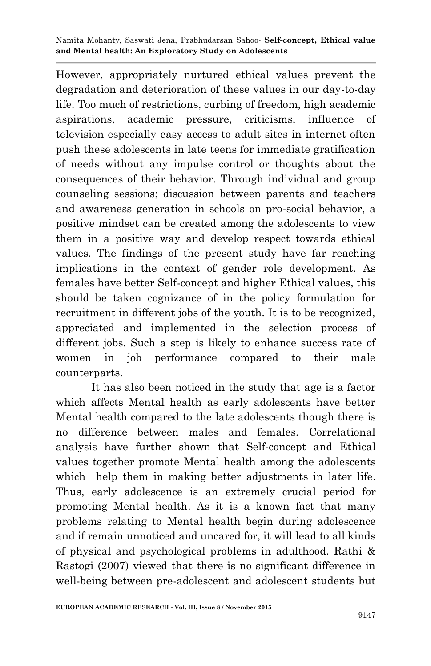However, appropriately nurtured ethical values prevent the degradation and deterioration of these values in our day-to-day life. Too much of restrictions, curbing of freedom, high academic aspirations, academic pressure, criticisms, influence of television especially easy access to adult sites in internet often push these adolescents in late teens for immediate gratification of needs without any impulse control or thoughts about the consequences of their behavior. Through individual and group counseling sessions; discussion between parents and teachers and awareness generation in schools on pro-social behavior, a positive mindset can be created among the adolescents to view them in a positive way and develop respect towards ethical values. The findings of the present study have far reaching implications in the context of gender role development. As females have better Self-concept and higher Ethical values, this should be taken cognizance of in the policy formulation for recruitment in different jobs of the youth. It is to be recognized, appreciated and implemented in the selection process of different jobs. Such a step is likely to enhance success rate of women in job performance compared to their male counterparts.

It has also been noticed in the study that age is a factor which affects Mental health as early adolescents have better Mental health compared to the late adolescents though there is no difference between males and females. Correlational analysis have further shown that Self-concept and Ethical values together promote Mental health among the adolescents which help them in making better adjustments in later life. Thus, early adolescence is an extremely crucial period for promoting Mental health. As it is a known fact that many problems relating to Mental health begin during adolescence and if remain unnoticed and uncared for, it will lead to all kinds of physical and psychological problems in adulthood. Rathi & Rastogi (2007) viewed that there is no significant difference in well-being between pre-adolescent and adolescent students but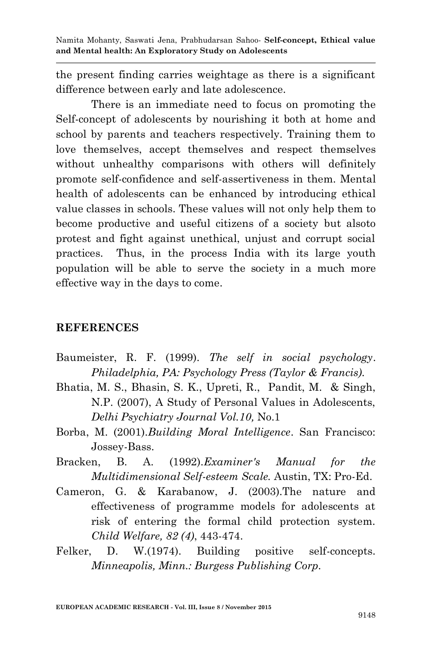the present finding carries weightage as there is a significant difference between early and late adolescence.

There is an immediate need to focus on promoting the Self-concept of adolescents by nourishing it both at home and school by parents and teachers respectively. Training them to love themselves, accept themselves and respect themselves without unhealthy comparisons with others will definitely promote self-confidence and self-assertiveness in them. Mental health of adolescents can be enhanced by introducing ethical value classes in schools. These values will not only help them to become productive and useful citizens of a society but alsoto protest and fight against unethical, unjust and corrupt social practices. Thus, in the process India with its large youth population will be able to serve the society in a much more effective way in the days to come.

### **REFERENCES**

- Baumeister, R. F. (1999). *The self in social psychology*. *Philadelphia, PA: Psychology Press (Taylor & Francis).*
- Bhatia, M. S., Bhasin, S. K., Upreti, R., Pandit, M. & Singh, N.P. (2007), A Study of Personal Values in Adolescents, *Delhi Psychiatry Journal Vol.10,* No.1
- Borba, M. (2001).*Building Moral Intelligence*. San Francisco: Jossey-Bass.
- Bracken, B. A. (1992).*Examiner's Manual for the Multidimensional Self-esteem Scale.* Austin, TX: Pro-Ed.
- Cameron, G. & Karabanow, J. (2003).The nature and effectiveness of programme models for adolescents at risk of entering the formal child protection system. *Child Welfare, 82 (4)*, 443-474.
- Felker, D. W.(1974). Building positive self-concepts. *Minneapolis, Minn.: Burgess Publishing Corp.*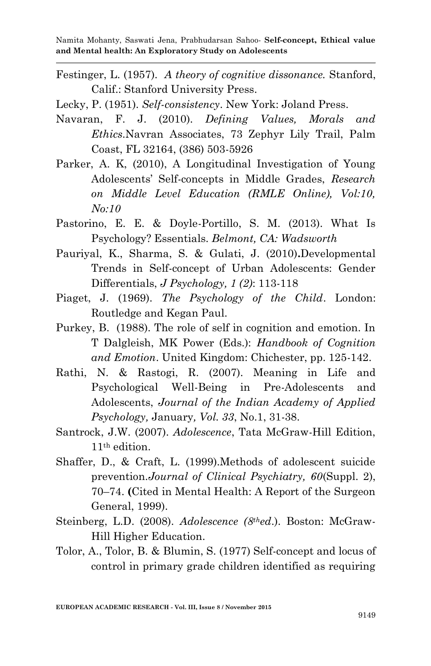Festinger, L. (1957). *A theory of cognitive dissonance.* Stanford, Calif.: Stanford University Press.

Lecky, P. (1951). *Self-consistency*. New York: Joland Press.

- Navaran, F. J. (2010). *Defining Values, Morals and Ethics*.Navran Associates, 73 Zephyr Lily Trail, Palm Coast, FL 32164, (386) 503-5926
- Parker, A. K, (2010), A Longitudinal Investigation of Young Adolescents" Self-concepts in Middle Grades, *Research on Middle Level Education (RMLE Online), Vol:10, No:10*
- Pastorino, E. E. & Doyle-Portillo, S. M. (2013). What Is Psychology? Essentials. *Belmont, CA: Wadsworth*
- Pauriyal, K., Sharma, S. & Gulati, J. (2010)**.**Developmental Trends in Self-concept of Urban Adolescents: Gender Differentials, *J Psychology, 1 (2)*: 113-118
- Piaget, J. (1969). *The Psychology of the Child*. London: Routledge and Kegan Paul.
- Purkey, B. (1988). The role of self in cognition and emotion. In T Dalgleish, MK Power (Eds.): *Handbook of Cognition and Emotion*. United Kingdom: Chichester, pp. 125-142.
- Rathi, N. & Rastogi, R. (2007). Meaning in Life and Psychological Well-Being in Pre-Adolescents and Adolescents, *Journal of the Indian Academy of Applied Psychology,* January*, Vol. 33*, No.1, 31-38.
- Santrock, J.W. (2007). *Adolescence*, Tata McGraw-Hill Edition, 11th edition.
- Shaffer, D., & Craft, L. (1999).Methods of adolescent suicide prevention.*Journal of Clinical Psychiatry, 60*(Suppl. 2), 70–74. **(**Cited in Mental Health: A Report of the Surgeon General, 1999).
- Steinberg, L.D. (2008). *Adolescence (8thed*.). Boston: McGraw-Hill Higher Education.
- Tolor, A., Tolor, B. & Blumin, S. (1977) Self-concept and locus of control in primary grade children identified as requiring